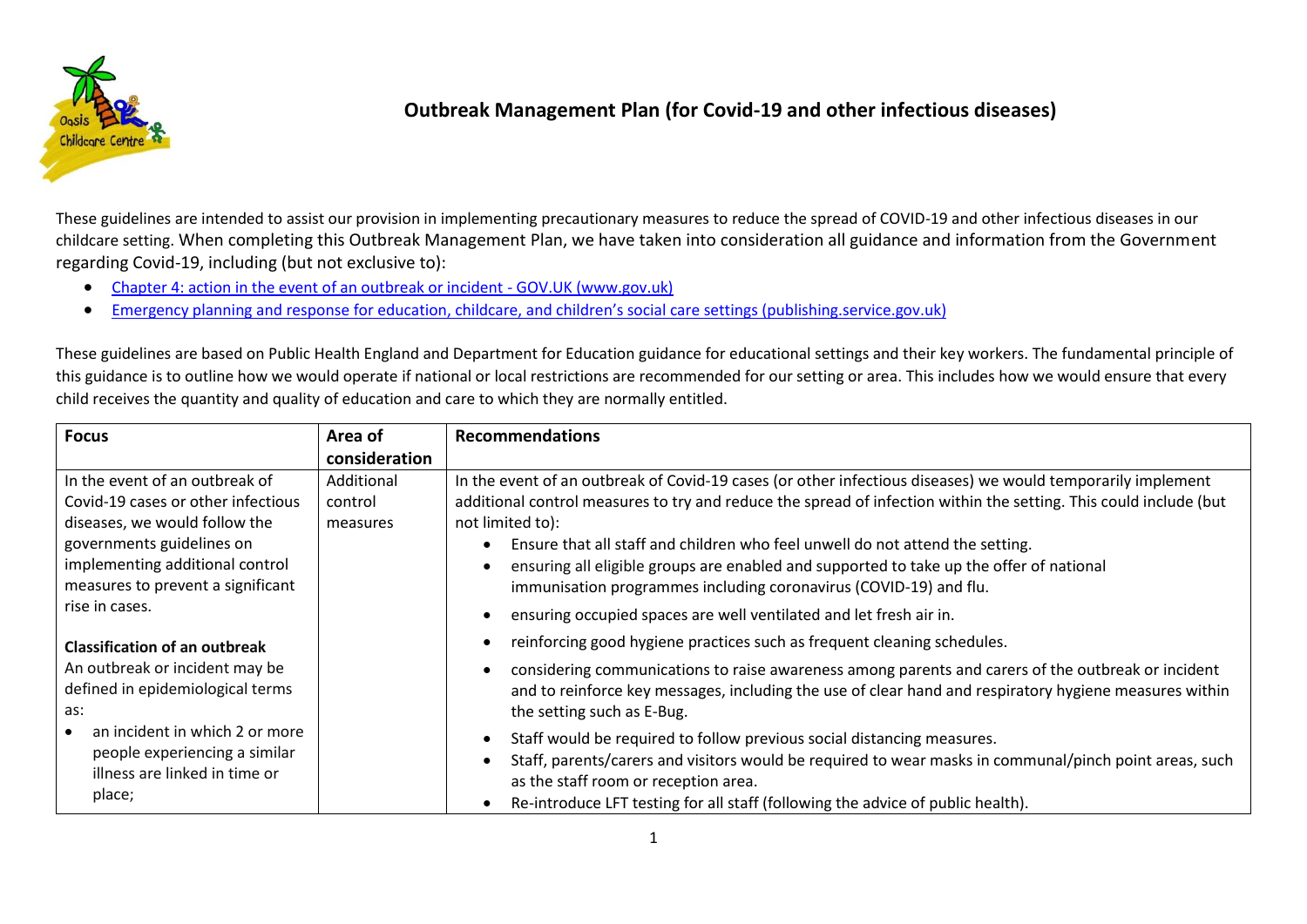

## **Outbreak Management Plan (for Covid-19 and other infectious diseases)**

These guidelines are intended to assist our provision in implementing precautionary measures to reduce the spread of COVID-19 and other infectious diseases in our childcare setting. When completing this Outbreak Management Plan, we have taken into consideration all guidance and information from the Government regarding Covid-19, including (but not exclusive to):

- [Chapter 4: action in the event of an outbreak or incident -](https://www.gov.uk/government/publications/health-protection-in-schools-and-other-childcare-facilities/chapter-4-action-in-the-event-of-an-outbreak-or-incident) GOV.UK (www.gov.uk)
- [Emergency planning and response for education, childcare, and children's social care settings \(publishing.service.gov.uk\)](https://assets.publishing.service.gov.uk/government/uploads/system/uploads/attachment_data/file/1065829/DfE_Emergency_Guidance.pdf)

These guidelines are based on Public Health England and Department for Education guidance for educational settings and their key workers. The fundamental principle of this guidance is to outline how we would operate if national or local restrictions are recommended for our setting or area. This includes how we would ensure that every child receives the quantity and quality of education and care to which they are normally entitled.

| <b>Focus</b>                            | Area of       | <b>Recommendations</b>                                                                                            |
|-----------------------------------------|---------------|-------------------------------------------------------------------------------------------------------------------|
|                                         | consideration |                                                                                                                   |
| In the event of an outbreak of          | Additional    | In the event of an outbreak of Covid-19 cases (or other infectious diseases) we would temporarily implement       |
| Covid-19 cases or other infectious      | control       | additional control measures to try and reduce the spread of infection within the setting. This could include (but |
| diseases, we would follow the           | measures      | not limited to):                                                                                                  |
| governments guidelines on               |               | Ensure that all staff and children who feel unwell do not attend the setting.                                     |
| implementing additional control         |               | ensuring all eligible groups are enabled and supported to take up the offer of national                           |
| measures to prevent a significant       |               | immunisation programmes including coronavirus (COVID-19) and flu.                                                 |
| rise in cases.                          |               | ensuring occupied spaces are well ventilated and let fresh air in.                                                |
| <b>Classification of an outbreak</b>    |               | reinforcing good hygiene practices such as frequent cleaning schedules.                                           |
| An outbreak or incident may be          |               | considering communications to raise awareness among parents and carers of the outbreak or incident                |
| defined in epidemiological terms        |               | and to reinforce key messages, including the use of clear hand and respiratory hygiene measures within            |
| as:                                     |               | the setting such as E-Bug.                                                                                        |
| an incident in which 2 or more          |               | Staff would be required to follow previous social distancing measures.                                            |
| people experiencing a similar           |               | Staff, parents/carers and visitors would be required to wear masks in communal/pinch point areas, such            |
| illness are linked in time or<br>place; |               | as the staff room or reception area.                                                                              |
|                                         |               | Re-introduce LFT testing for all staff (following the advice of public health).                                   |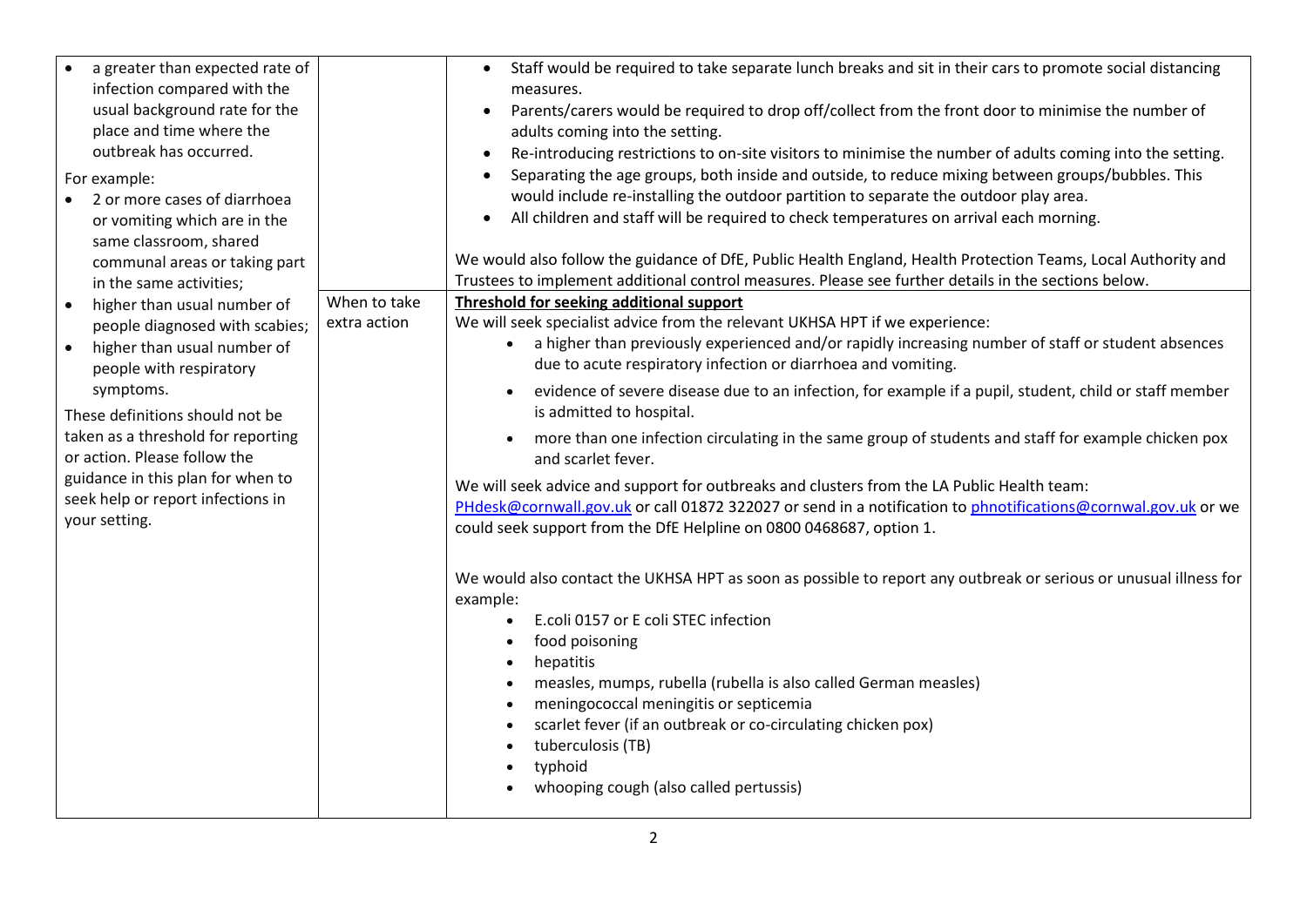| a greater than expected rate of          |              | Staff would be required to take separate lunch breaks and sit in their cars to promote social distancing<br>$\bullet$  |
|------------------------------------------|--------------|------------------------------------------------------------------------------------------------------------------------|
| infection compared with the              |              | measures.                                                                                                              |
| usual background rate for the            |              | Parents/carers would be required to drop off/collect from the front door to minimise the number of<br>$\bullet$        |
| place and time where the                 |              | adults coming into the setting.                                                                                        |
| outbreak has occurred.                   |              | Re-introducing restrictions to on-site visitors to minimise the number of adults coming into the setting.<br>$\bullet$ |
| For example:                             |              | Separating the age groups, both inside and outside, to reduce mixing between groups/bubbles. This                      |
| 2 or more cases of diarrhoea             |              | would include re-installing the outdoor partition to separate the outdoor play area.                                   |
| or vomiting which are in the             |              | All children and staff will be required to check temperatures on arrival each morning.                                 |
| same classroom, shared                   |              |                                                                                                                        |
| communal areas or taking part            |              | We would also follow the guidance of DfE, Public Health England, Health Protection Teams, Local Authority and          |
| in the same activities;                  |              | Trustees to implement additional control measures. Please see further details in the sections below.                   |
| higher than usual number of<br>$\bullet$ | When to take | Threshold for seeking additional support                                                                               |
| people diagnosed with scabies;           | extra action | We will seek specialist advice from the relevant UKHSA HPT if we experience:                                           |
| higher than usual number of<br>$\bullet$ |              | a higher than previously experienced and/or rapidly increasing number of staff or student absences<br>$\bullet$        |
| people with respiratory                  |              | due to acute respiratory infection or diarrhoea and vomiting.                                                          |
| symptoms.                                |              | evidence of severe disease due to an infection, for example if a pupil, student, child or staff member                 |
|                                          |              | is admitted to hospital.                                                                                               |
| These definitions should not be          |              |                                                                                                                        |
| taken as a threshold for reporting       |              | more than one infection circulating in the same group of students and staff for example chicken pox<br>$\bullet$       |
| or action. Please follow the             |              | and scarlet fever.                                                                                                     |
| guidance in this plan for when to        |              | We will seek advice and support for outbreaks and clusters from the LA Public Health team:                             |
| seek help or report infections in        |              | PHdesk@cornwall.gov.uk or call 01872 322027 or send in a notification to phnotifications@cornwal.gov.uk or we          |
| your setting.                            |              | could seek support from the DfE Helpline on 0800 0468687, option 1.                                                    |
|                                          |              |                                                                                                                        |
|                                          |              | We would also contact the UKHSA HPT as soon as possible to report any outbreak or serious or unusual illness for       |
|                                          |              | example:                                                                                                               |
|                                          |              | E.coli 0157 or E coli STEC infection<br>$\bullet$                                                                      |
|                                          |              | food poisoning                                                                                                         |
|                                          |              | $\bullet$                                                                                                              |
|                                          |              | hepatitis<br>$\bullet$                                                                                                 |
|                                          |              | measles, mumps, rubella (rubella is also called German measles)<br>$\bullet$                                           |
|                                          |              | meningococcal meningitis or septicemia<br>$\bullet$                                                                    |
|                                          |              | scarlet fever (if an outbreak or co-circulating chicken pox)<br>$\bullet$                                              |
|                                          |              | tuberculosis (TB)                                                                                                      |
|                                          |              | typhoid                                                                                                                |
|                                          |              | whooping cough (also called pertussis)                                                                                 |
|                                          |              |                                                                                                                        |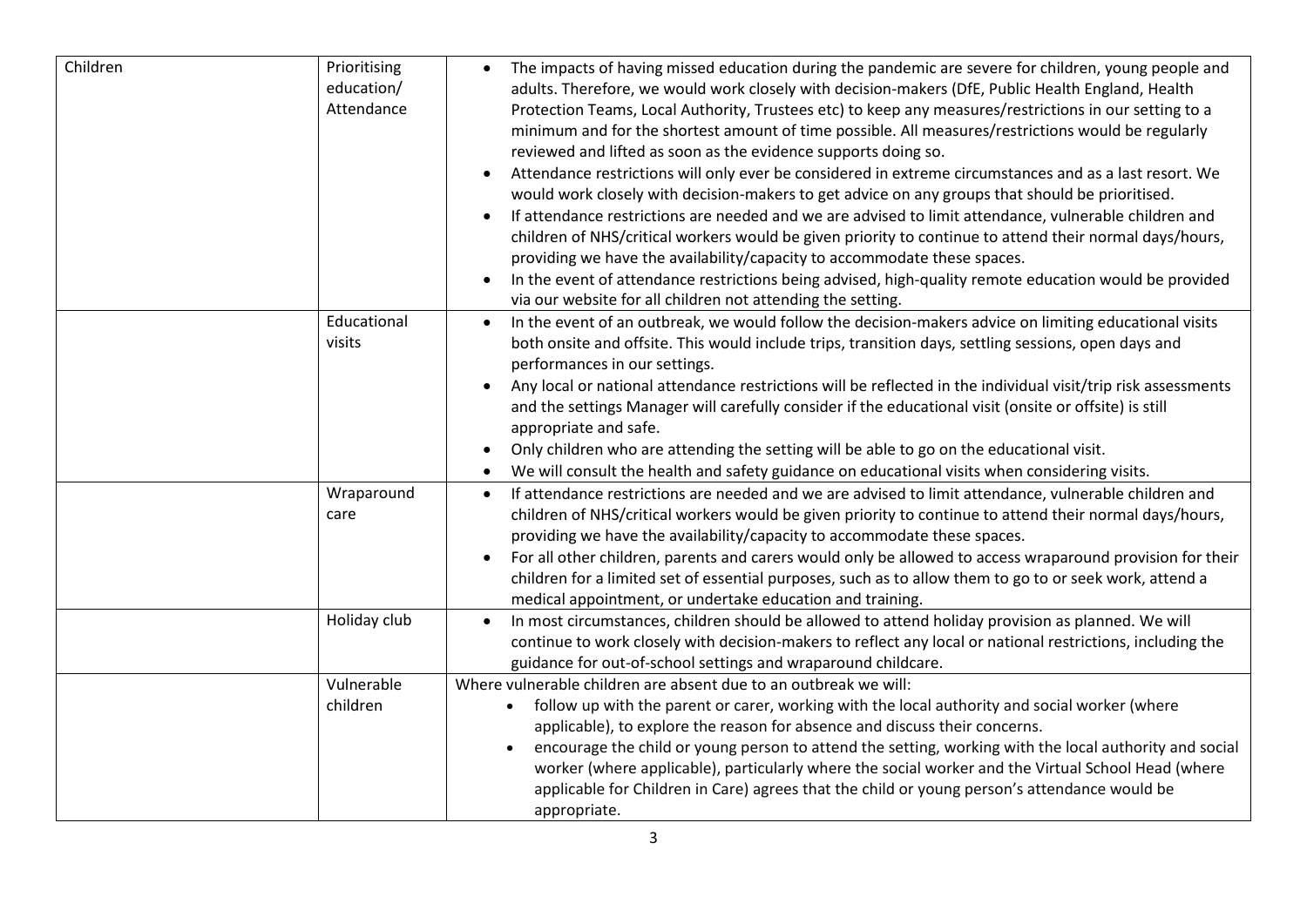| Children | Prioritising<br>education/<br>Attendance | The impacts of having missed education during the pandemic are severe for children, young people and<br>$\bullet$<br>adults. Therefore, we would work closely with decision-makers (DfE, Public Health England, Health<br>Protection Teams, Local Authority, Trustees etc) to keep any measures/restrictions in our setting to a<br>minimum and for the shortest amount of time possible. All measures/restrictions would be regularly<br>reviewed and lifted as soon as the evidence supports doing so.<br>Attendance restrictions will only ever be considered in extreme circumstances and as a last resort. We<br>$\bullet$<br>would work closely with decision-makers to get advice on any groups that should be prioritised.<br>If attendance restrictions are needed and we are advised to limit attendance, vulnerable children and<br>children of NHS/critical workers would be given priority to continue to attend their normal days/hours,<br>providing we have the availability/capacity to accommodate these spaces.<br>In the event of attendance restrictions being advised, high-quality remote education would be provided<br>via our website for all children not attending the setting. |
|----------|------------------------------------------|-------------------------------------------------------------------------------------------------------------------------------------------------------------------------------------------------------------------------------------------------------------------------------------------------------------------------------------------------------------------------------------------------------------------------------------------------------------------------------------------------------------------------------------------------------------------------------------------------------------------------------------------------------------------------------------------------------------------------------------------------------------------------------------------------------------------------------------------------------------------------------------------------------------------------------------------------------------------------------------------------------------------------------------------------------------------------------------------------------------------------------------------------------------------------------------------------------------|
|          | Educational<br>visits                    | In the event of an outbreak, we would follow the decision-makers advice on limiting educational visits<br>$\bullet$<br>both onsite and offsite. This would include trips, transition days, settling sessions, open days and<br>performances in our settings.<br>Any local or national attendance restrictions will be reflected in the individual visit/trip risk assessments<br>and the settings Manager will carefully consider if the educational visit (onsite or offsite) is still<br>appropriate and safe.<br>Only children who are attending the setting will be able to go on the educational visit.<br>$\bullet$<br>We will consult the health and safety guidance on educational visits when considering visits.                                                                                                                                                                                                                                                                                                                                                                                                                                                                                  |
|          | Wraparound<br>care                       | If attendance restrictions are needed and we are advised to limit attendance, vulnerable children and<br>$\bullet$<br>children of NHS/critical workers would be given priority to continue to attend their normal days/hours,<br>providing we have the availability/capacity to accommodate these spaces.<br>For all other children, parents and carers would only be allowed to access wraparound provision for their<br>$\bullet$<br>children for a limited set of essential purposes, such as to allow them to go to or seek work, attend a<br>medical appointment, or undertake education and training.                                                                                                                                                                                                                                                                                                                                                                                                                                                                                                                                                                                                 |
|          | Holiday club                             | In most circumstances, children should be allowed to attend holiday provision as planned. We will<br>$\bullet$<br>continue to work closely with decision-makers to reflect any local or national restrictions, including the<br>guidance for out-of-school settings and wraparound childcare.                                                                                                                                                                                                                                                                                                                                                                                                                                                                                                                                                                                                                                                                                                                                                                                                                                                                                                               |
|          | Vulnerable<br>children                   | Where vulnerable children are absent due to an outbreak we will:<br>follow up with the parent or carer, working with the local authority and social worker (where<br>applicable), to explore the reason for absence and discuss their concerns.<br>encourage the child or young person to attend the setting, working with the local authority and social<br>worker (where applicable), particularly where the social worker and the Virtual School Head (where<br>applicable for Children in Care) agrees that the child or young person's attendance would be<br>appropriate.                                                                                                                                                                                                                                                                                                                                                                                                                                                                                                                                                                                                                             |